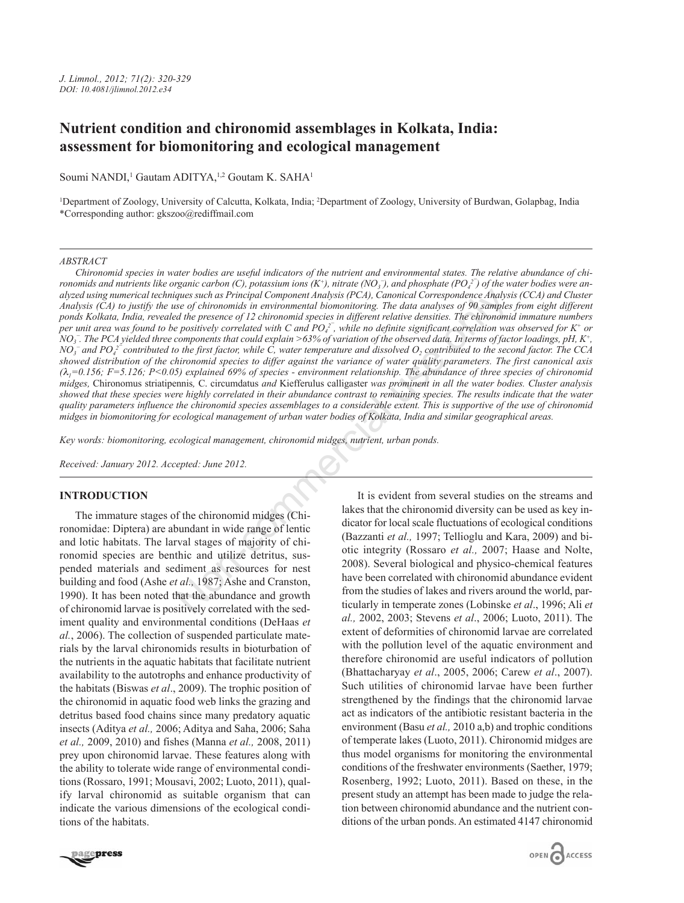# **Nutrient condition and chironomid assemblages in Kolkata, India: assessment for biomonitoring and ecological management**

Soumi NANDI,<sup>1</sup> Gautam ADITYA,<sup>1,2</sup> Goutam K. SAHA<sup>1</sup>

1 Department of Zoology, University of Calcutta, Kolkata, India; 2 Department of Zoology, University of Burdwan, Golapbag, India \*Corresponding author: gkszoo@rediffmail.com

#### *ABSTRACT*

*Chironomid species in water bodies are useful indicators of the nutrient and environmental states. The relative abundance of chi* $r$ onomids and nutrients like organic carbon (C), potassium ions (K<sup>+</sup>), nitrate (NO<sub>3</sub>), and phosphate (PO<sub>4</sub><sup>2</sup>) of the water bodies were an*alyzed using numerical techniques such as Principal Component Analysis (PCA), Canonical Correspondence Analysis (CCA) and Cluster Analysis (CA) to justify the use of chironomids in environmental biomonitoring. The data analyses of 90 samples from eight different ponds Kolkata, India, revealed the presence of 12 chironomid species in different relative densities. The chironomid immature numbers* per unit area was found to be positively correlated with C and PO<sub>4</sub><sup>-</sup>, while no definite significant correlation was observed for K<sup>+</sup> or *NO3 ¯. The PCA yielded three components that could explain >63% of variation of the observed data. In terms of factor loadings, pH, K+, NO3 ¯ and PO4 2¯ contributed to the first factor, while C, water temperature and dissolved O2 contributed to the second factor. The CCA showed distribution of the chironomid species to differ against the variance of water quality parameters. The first canonical axis (*λ*1=0.156; F=5.126; P<0.05) explained 69% of species - environment relationship. The abundance of three species of chironomid midges,* Chironomus striatipennis*,* C. circumdatus *and* Kiefferulus calligaster *was prominent in all the water bodies. Cluster analysis showed that these species were highly correlated in their abundance contrast to remaining species. The results indicate that the water quality parameters influence the chironomid species assemblages to a considerable extent. This is supportive of the use of chironomid midges in biomonitoring for ecological management of urban water bodies of Kolkata, India and similar geographical areas.* ques such as Principal Component Analysis (PCA), Canonical Correspondence Analysis<br>
et of chironomid in environmental biomonitary. The data analyses of 90 samples<br>
ad the presence of 12 chironomid species in different rel

*Key words: biomonitoring, ecological management, chironomid midges, nutrient, urban ponds.*

*Received: January 2012. Accepted: June 2012.*

## **INTRODUCTION**

The immature stages of the chironomid midges (Chironomidae: Diptera) are abundant in wide range of lentic and lotic habitats. The larval stages of majority of chironomid species are benthic and utilize detritus, suspended materials and sediment as resources for nest building and food (Ashe *et al.,* 1987; Ashe and Cranston, 1990). It has been noted that the abundance and growth of chironomid larvae is positively correlated with the sediment quality and environmental conditions (DeHaas *et al.*, 2006). The collection of suspended particulate materials by the larval chironomids results in bioturbation of the nutrients in the aquatic habitats that facilitate nutrient availability to the autotrophs and enhance productivity of the habitats (Biswas *et al*., 2009). The trophic position of the chironomid in aquatic food web links the grazing and detritus based food chains since many predatory aquatic insects (Aditya *et al.,* 2006; Aditya and Saha, 2006; Saha *et al.,* 2009, 2010) and fishes (Manna *et al.,* 2008, 2011) prey upon chironomid larvae. These features along with the ability to tolerate wide range of environmental conditions (Rossaro, 1991; Mousavi, 2002; Luoto, 2011), qualify larval chironomid as suitable organism that can indicate the various dimensions of the ecological conditions of the habitats.

It is evident from several studies on the streams and lakes that the chironomid diversity can be used as key indicator for local scale fluctuations of ecological conditions (Bazzanti *et al.,* 1997; Tellioglu and Kara, 2009) and biotic integrity (Rossaro *et al.,* 2007; Haase and Nolte, 2008). Several biological and physico-chemical features have been correlated with chironomid abundance evident from the studies of lakes and rivers around the world, particularly in temperate zones (Lobinske *et al*., 1996; Ali *et al.,* 2002, 2003; Stevens *et al*., 2006; Luoto, 2011). The extent of deformities of chironomid larvae are correlated with the pollution level of the aquatic environment and therefore chironomid are useful indicators of pollution (Bhattacharyay *et al*., 2005, 2006; Carew *et al*., 2007). Such utilities of chironomid larvae have been further strengthened by the findings that the chironomid larvae act as indicators of the antibiotic resistant bacteria in the environment (Basu *et al.*, 2010 a,b) and trophic conditions of temperate lakes (Luoto, 2011). Chironomid midges are thus model organisms for monitoring the environmental conditions of the freshwater environments (Saether, 1979; Rosenberg, 1992; Luoto, 2011). Based on these, in the present study an attempt has been made to judge the relation between chironomid abundance and the nutrient conditions of the urban ponds. An estimated 4147 chironomid

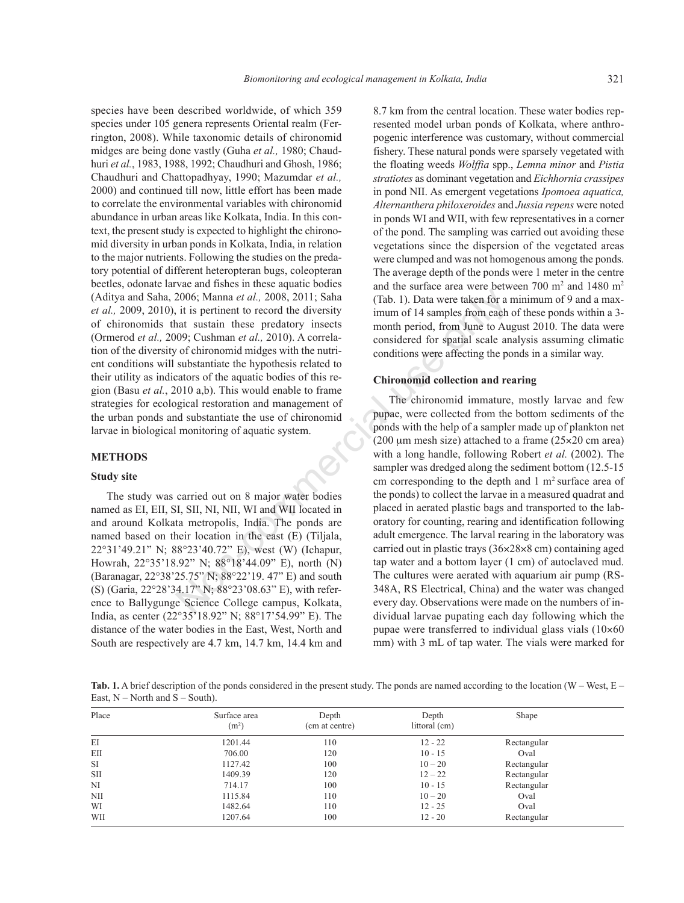species have been described worldwide, of which 359 species under 105 genera represents Oriental realm (Ferrington, 2008). While taxonomic details of chironomid midges are being done vastly (Guha *et al.,* 1980; Chaudhuri *et al.*, 1983, 1988, 1992; Chaudhuri and Ghosh, 1986; Chaudhuri and Chattopadhyay, 1990; Mazumdar *et al.,* 2000) and continued till now, little effort has been made to correlate the environmental variables with chironomid abundance in urban areas like Kolkata, India. In this context, the present study is expected to highlight the chironomid diversity in urban ponds in Kolkata, India, in relation to the major nutrients. Following the studies on the predatory potential of different heteropteran bugs, coleopteran beetles, odonate larvae and fishes in these aquatic bodies (Aditya and Saha, 2006; Manna *et al.,* 2008, 2011; Saha *et al.,* 2009, 2010), it is pertinent to record the diversity of chironomids that sustain these predatory insects (Ormerod *et al.,* 2009; Cushman *et al.,* 2010). A correlation of the diversity of chironomid midges with the nutrient conditions will substantiate the hypothesis related to their utility as indicators of the aquatic bodies of this region (Basu *et al.*, 2010 a,b). This would enable to frame strategies for ecological restoration and management of the urban ponds and substantiate the use of chironomid larvae in biological monitoring of aquatic system.

## **METHODS**

## **Study site**

The study was carried out on 8 major water bodies named as EI, EII, SI, SII, NI, NII, WI and WII located in and around Kolkata metropolis, India. The ponds are named based on their location in the east (E) (Tiljala, 22°31'49.21" N; 88°23'40.72" E), west (W) (Ichapur, Howrah, 22°35'18.92" N; 88°18'44.09" E), north (N) (Baranagar, 22°38'25.75" N; 88°22'19. 47" E) and south (S) (Garia, 22°28'34.17" N; 88°23'08.63" E), with reference to Ballygunge Science College campus, Kolkata, India, as center (22°35'18.92" N; 88°17'54.99" E). The distance of the water bodies in the East, West, North and South are respectively are 4.7 km, 14.7 km, 14.4 km and

8.7 km from the central location. These water bodies represented model urban ponds of Kolkata, where anthropogenic interference was customary, without commercial fishery. These natural ponds were sparsely vegetated with the floating weeds *Wolffia* spp., *Lemna minor* and *Pistia stratiotes* as dominant vegetation and *Eichhornia crassipes* in pond NII. As emergent vegetations *Ipomoea aquatica, Alternanthera philoxeroides* and *Jussia repens* were noted in ponds WI and WII, with few representatives in a corner of the pond. The sampling was carried out avoiding these vegetations since the dispersion of the vegetated areas were clumped and was not homogenous among the ponds. The average depth of the ponds were 1 meter in the centre and the surface area were between  $700 \text{ m}^2$  and  $1480 \text{ m}^2$ (Tab. 1). Data were taken for a minimum of 9 and a maximum of 14 samples from each of these ponds within a 3 month period, from June to August 2010. The data were considered for spatial scale analysis assuming climatic conditions were affecting the ponds in a similar way.

# **Chironomid collection and rearing**

The chironomid immature, mostly larvae and few pupae, were collected from the bottom sediments of the ponds with the help of a sampler made up of plankton net (200  $\mu$ m mesh size) attached to a frame (25 $\times$ 20 cm area) with a long handle, following Robert *et al.* (2002). The sampler was dredged along the sediment bottom (12.5-15) cm corresponding to the depth and  $1 \text{ m}^2$  surface area of the ponds) to collect the larvae in a measured quadrat and placed in aerated plastic bags and transported to the laboratory for counting, rearing and identification following adult emergence. The larval rearing in the laboratory was carried out in plastic trays  $(36\times28\times8$  cm) containing aged tap water and a bottom layer (1 cm) of autoclaved mud. The cultures were aerated with aquarium air pump (RS-348A, RS Electrical, China) and the water was changed every day. Observations were made on the numbers of individual larvae pupating each day following which the pupae were transferred to individual glass vials  $(10 \times 60$ mm) with 3 mL of tap water. The vials were marked for 2006; Manna *et al.*, 2008, 2011; Saha (Tab. 1). Data were taken for a it is pertinent to record the diversity imum of 14 samples from each task and sustain these predatory insects immum of 14 samples from each only coush

Tab. 1. A brief description of the ponds considered in the present study. The ponds are named according to the location (W – West, E – East,  $N$  – North and  $S$  – South).

| Place | Surface area<br>(m <sup>2</sup> ) | Depth<br>(cm at centre) | Depth<br>littoral (cm) | Shape       |  |
|-------|-----------------------------------|-------------------------|------------------------|-------------|--|
| EI    | 1201.44                           | 110                     | $12 - 22$              | Rectangular |  |
| EII   | 706.00                            | 120                     | $10 - 15$              | Oval        |  |
| SI    | 1127.42                           | 100                     | $10 - 20$              | Rectangular |  |
| SШ    | 1409.39                           | 120                     | $12 - 22$              | Rectangular |  |
| NI    | 714.17                            | 100                     | $10 - 15$              | Rectangular |  |
| NII   | 1115.84                           | 110                     | $10 - 20$              | Oval        |  |
| WI    | 1482.64                           | 110                     | $12 - 25$              | Oval        |  |
| WII   | 1207.64                           | 100                     | $12 - 20$              | Rectangular |  |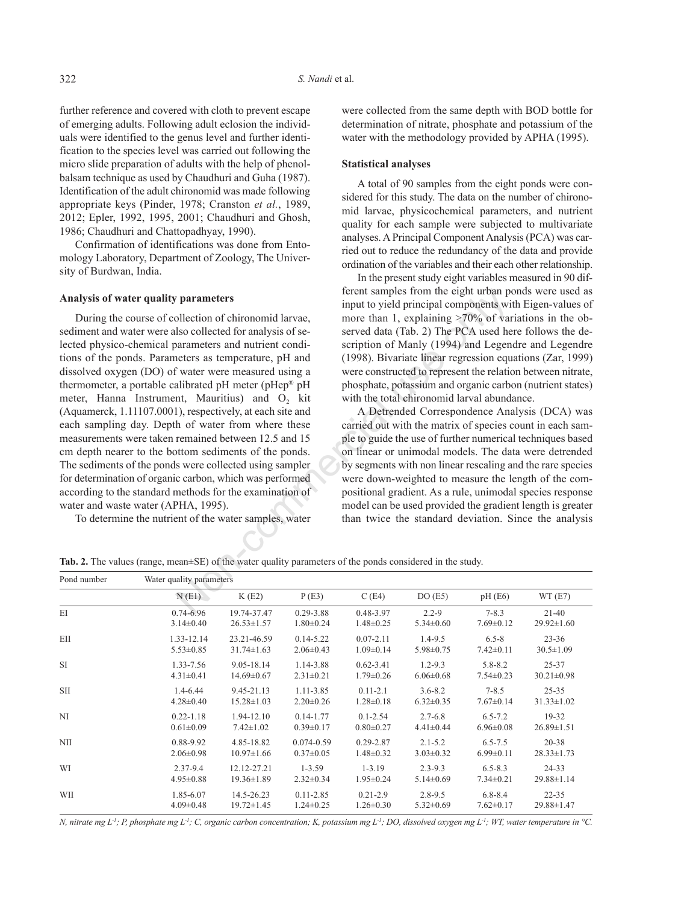further reference and covered with cloth to prevent escape of emerging adults. Following adult eclosion the individuals were identified to the genus level and further identification to the species level was carried out following the micro slide preparation of adults with the help of phenolbalsam technique as used by Chaudhuri and Guha (1987). Identification of the adult chironomid was made following appropriate keys (Pinder, 1978; Cranston *et al.*, 1989, 2012; Epler, 1992, 1995, 2001; Chaudhuri and Ghosh, 1986; Chaudhuri and Chattopadhyay, 1990).

Confirmation of identifications was done from Entomology Laboratory, Department of Zoology, The University of Burdwan, India.

## **Analysis of water quality parameters**

During the course of collection of chironomid larvae, sediment and water were also collected for analysis of selected physico-chemical parameters and nutrient conditions of the ponds. Parameters as temperature, pH and dissolved oxygen (DO) of water were measured using a thermometer, a portable calibrated pH meter (pHep® pH meter, Hanna Instrument, Mauritius) and  $O_2$  kit (Aquamerck, 1.11107.0001), respectively, at each site and each sampling day. Depth of water from where these measurements were taken remained between 12.5 and 15 cm depth nearer to the bottom sediments of the ponds. The sediments of the ponds were collected using sampler for determination of organic carbon, which was performed according to the standard methods for the examination of water and waste water (APHA, 1995). referent standard in the eight urban point<br>
imput to yield principal components with the eight urban point be induction of chironomid larvae, more than 1, explaining >70% of variance and nutrient condition of Manity (1994

To determine the nutrient of the water samples, water

were collected from the same depth with BOD bottle for determination of nitrate, phosphate and potassium of the water with the methodology provided by APHA (1995).

#### **Statistical analyses**

A total of 90 samples from the eight ponds were considered for this study. The data on the number of chironomid larvae, physicochemical parameters, and nutrient quality for each sample were subjected to multivariate analyses. A Principal Component Analysis (PCA) was carried out to reduce the redundancy of the data and provide ordination of the variables and their each other relationship.

In the present study eight variables measured in 90 different samples from the eight urban ponds were used as input to yield principal components with Eigen-values of more than 1, explaining >70% of variations in the observed data (Tab. 2) The PCA used here follows the description of Manly (1994) and Legendre and Legendre (1998). Bivariate linear regression equations (Zar, 1999) were constructed to represent the relation between nitrate, phosphate, potassium and organic carbon (nutrient states) with the total chironomid larval abundance.

A Detrended Correspondence Analysis (DCA) was carried out with the matrix of species count in each sample to guide the use of further numerical techniques based on linear or unimodal models. The data were detrended by segments with non linear rescaling and the rare species were down-weighted to measure the length of the compositional gradient. As a rule, unimodal species response model can be used provided the gradient length is greater than twice the standard deviation. Since the analysis

**Tab. 2.** The values (range, mean±SE) of the water quality parameters of the ponds considered in the study.

| Pond number | Water quality parameters |                  |                 |                 |                 |                 |                  |  |
|-------------|--------------------------|------------------|-----------------|-----------------|-----------------|-----------------|------------------|--|
|             | N(E1)                    | K(E2)            | P(E3)           | C(E4)           | DO(E5)          | pH(E6)          | WT(E7)           |  |
| EI          | 0.74-6.96                | 19.74-37.47      | $0.29 - 3.88$   | 0.48-3.97       | $2.2 - 9$       | $7 - 8.3$       | $21 - 40$        |  |
|             | $3.14\pm0.40$            | $26.53 \pm 1.57$ | $1.80 \pm 0.24$ | $1.48 \pm 0.25$ | $5.34 \pm 0.60$ | $7.69 \pm 0.12$ | $29.92 \pm 1.60$ |  |
| EII         | 1.33-12.14               | 23.21-46.59      | $0.14 - 5.22$   | $0.07 - 2.11$   | $1.4 - 9.5$     | $6.5 - 8$       | $23 - 36$        |  |
|             | $5.53 \pm 0.85$          | $31.74 \pm 1.63$ | $2.06 \pm 0.43$ | $1.09 \pm 0.14$ | $5.98 \pm 0.75$ | $7.42 \pm 0.11$ | $30.5 \pm 1.09$  |  |
| <b>SI</b>   | 1.33-7.56                | 9.05-18.14       | 1.14-3.88       | $0.62 - 3.41$   | $1.2 - 9.3$     | $5.8 - 8.2$     | 25-37            |  |
|             | $4.31 \pm 0.41$          | $14.69 \pm 0.67$ | $2.31 \pm 0.21$ | $1.79 \pm 0.26$ | $6.06 \pm 0.68$ | $7.54 \pm 0.23$ | $30.21 \pm 0.98$ |  |
| <b>SII</b>  | 1.4-6.44                 | 9.45-21.13       | 1.11-3.85       | $0.11 - 2.1$    | $3.6 - 8.2$     | $7 - 8.5$       | $25 - 35$        |  |
|             | $4.28 \pm 0.40$          | $15.28 \pm 1.03$ | $2.20 \pm 0.26$ | $1.28 \pm 0.18$ | $6.32 \pm 0.35$ | $7.67 \pm 0.14$ | $31.33 \pm 1.02$ |  |
| NI          | $0.22 - 1.18$            | 1.94-12.10       | $0.14 - 1.77$   | $0.1 - 2.54$    | $2.7 - 6.8$     | $6.5 - 7.2$     | 19-32            |  |
|             | $0.61 \pm 0.09$          | $7.42 \pm 1.02$  | $0.39 \pm 0.17$ | $0.80 \pm 0.27$ | $4.41 \pm 0.44$ | $6.96 \pm 0.08$ | $26.89 \pm 1.51$ |  |
| NII         | 0.88-9.92                | 4.85-18.82       | $0.074 - 0.59$  | $0.29 - 2.87$   | $2.1 - 5.2$     | $6.5 - 7.5$     | $20 - 38$        |  |
|             | $2.06 \pm 0.98$          | $10.97 \pm 1.66$ | $0.37 \pm 0.05$ | $1.48 \pm 0.32$ | $3.03 \pm 0.32$ | $6.99 \pm 0.11$ | $28.33 \pm 1.73$ |  |
| WI          | 2.37-9.4                 | 12.12-27.21      | $1 - 3.59$      | $1 - 3.19$      | $2.3 - 9.3$     | $6.5 - 8.3$     | $24 - 33$        |  |
|             | $4.95 \pm 0.88$          | $19.36 \pm 1.89$ | $2.32 \pm 0.34$ | $1.95 \pm 0.24$ | $5.14 \pm 0.69$ | $7.34 \pm 0.21$ | $29.88 \pm 1.14$ |  |
| WII         | 1.85-6.07                | 14.5-26.23       | $0.11 - 2.85$   | $0.21 - 2.9$    | $2.8 - 9.5$     | $6, 8-8, 4$     | $22 - 35$        |  |
|             | $4.09 \pm 0.48$          | $19.72 \pm 1.45$ | $1.24 \pm 0.25$ | $1.26 \pm 0.30$ | $5.32 \pm 0.69$ | $7.62 \pm 0.17$ | $29.88 \pm 1.47$ |  |

*N, nitrate mg L-1; P, phosphate mg L-1; C, organic carbon concentration; K, potassium mg L-1; DO, dissolved oxygen mg L-1; WT, water temperature in °C.*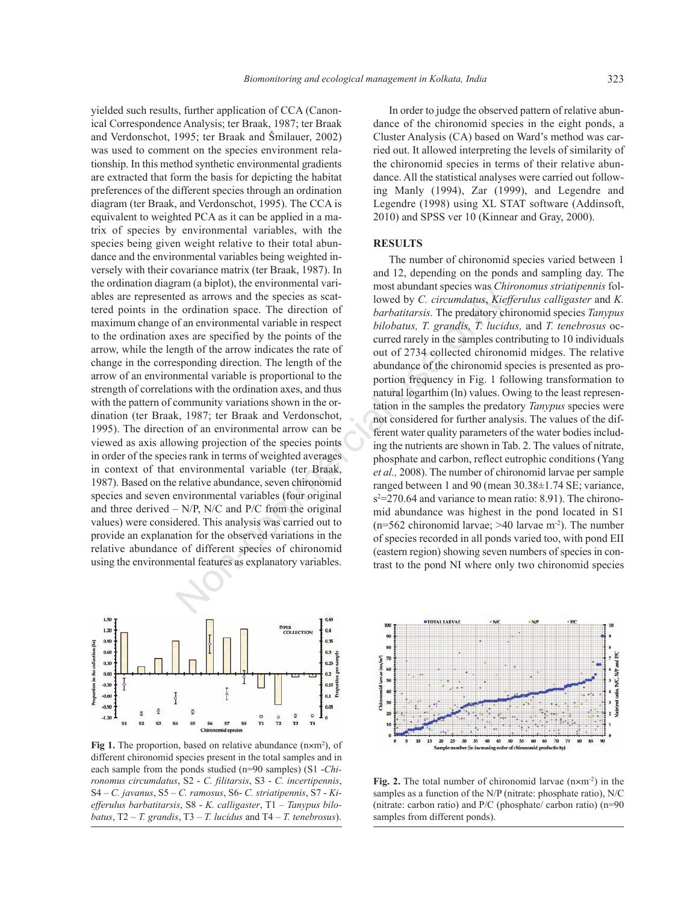yielded such results, further application of CCA (Canonical Correspondence Analysis; ter Braak, 1987; ter Braak and Verdonschot, 1995; ter Braak and Šmilauer, 2002) was used to comment on the species environment relationship. In this method synthetic environmental gradients are extracted that form the basis for depicting the habitat preferences of the different species through an ordination diagram (ter Braak, and Verdonschot, 1995). The CCA is equivalent to weighted PCA as it can be applied in a matrix of species by environmental variables, with the species being given weight relative to their total abundance and the environmental variables being weighted inversely with their covariance matrix (ter Braak, 1987). In the ordination diagram (a biplot), the environmental variables are represented as arrows and the species as scattered points in the ordination space. The direction of maximum change of an environmental variable in respect to the ordination axes are specified by the points of the arrow, while the length of the arrow indicates the rate of change in the corresponding direction. The length of the arrow of an environmental variable is proportional to the strength of correlations with the ordination axes, and thus with the pattern of community variations shown in the ordination (ter Braak, 1987; ter Braak and Verdonschot, 1995). The direction of an environmental arrow can be viewed as axis allowing projection of the species points in order of the species rank in terms of weighted averages in context of that environmental variable (ter Braak, 1987). Based on the relative abundance, seven chironomid species and seven environmental variables (four original and three derived  $-$  N/P, N/C and P/C from the original values) were considered. This analysis was carried out to provide an explanation for the observed variations in the relative abundance of different species of chironomid using the environmental features as explanatory variables. ed as arrows and the species as scate<br>
to column space. The direction of<br>
the ordination space. The direction of<br>
the analysis in expectations, *T. grandita, T. grandita*, *Niety*<br>
exers are specified by the points of t



Fig 1. The proportion, based on relative abundance (n×m<sup>2</sup>), of different chironomid species present in the total samples and in each sample from the ponds studied (n=90 samples) (S1 -*Chironomus circumdatus*, S2 - *C. filitarsis*, S3 - *C. incertipennis*, S4 – *C. javanus*, S5 – *C. ramosus*, S6- *C. striatipennis*, S7 - *Kiefferulus barbatitarsis*, S8 - *K. calligaster*, T1 – *Tanypus bilobatus*, T2 – *T. grandis*, T3 – *T. lucidus* and T4 – *T. tenebrosus*).

In order to judge the observed pattern of relative abundance of the chironomid species in the eight ponds, a Cluster Analysis (CA) based on Ward's method was carried out. It allowed interpreting the levels of similarity of the chironomid species in terms of their relative abundance. All the statistical analyses were carried out following Manly (1994), Zar (1999), and Legendre and Legendre (1998) using XL STAT software (Addinsoft, 2010) and SPSS ver 10 (Kinnear and Gray, 2000).

### **RESULTS**

The number of chironomid species varied between 1 and 12, depending on the ponds and sampling day. The most abundant species was *Chironomus striatipennis* followed by *C. circumdatus*, *Kiefferulus calligaster* and *K. barbatitarsis.* The predatory chironomid species *Tanypus bilobatus, T. grandis, T. lucidus,* and *T. tenebrosus* occurred rarely in the samples contributing to 10 individuals out of 2734 collected chironomid midges. The relative abundance of the chironomid species is presented as proportion frequency in Fig. 1 following transformation to natural logarthim (ln) values. Owing to the least representation in the samples the predatory *Tanypus* species were not considered for further analysis. The values of the different water quality parameters of the water bodies including the nutrients are shown in Tab. 2. The values of nitrate, phosphate and carbon, reflect eutrophic conditions (Yang *et al.,* 2008). The number of chironomid larvae per sample ranged between 1 and 90 (mean 30.38±1.74 SE; variance,  $s^2$ =270.64 and variance to mean ratio: 8.91). The chironomid abundance was highest in the pond located in S1  $(n=562$  chironomid larvae; >40 larvae m<sup>-2</sup>). The number of species recorded in all ponds varied too, with pond EII (eastern region) showing seven numbers of species in contrast to the pond NI where only two chironomid species



**Fig. 2.** The total number of chironomid larvae  $(n \times m^{-2})$  in the samples as a function of the N/P (nitrate: phosphate ratio), N/C (nitrate: carbon ratio) and P/C (phosphate/ carbon ratio) (n=90 samples from different ponds).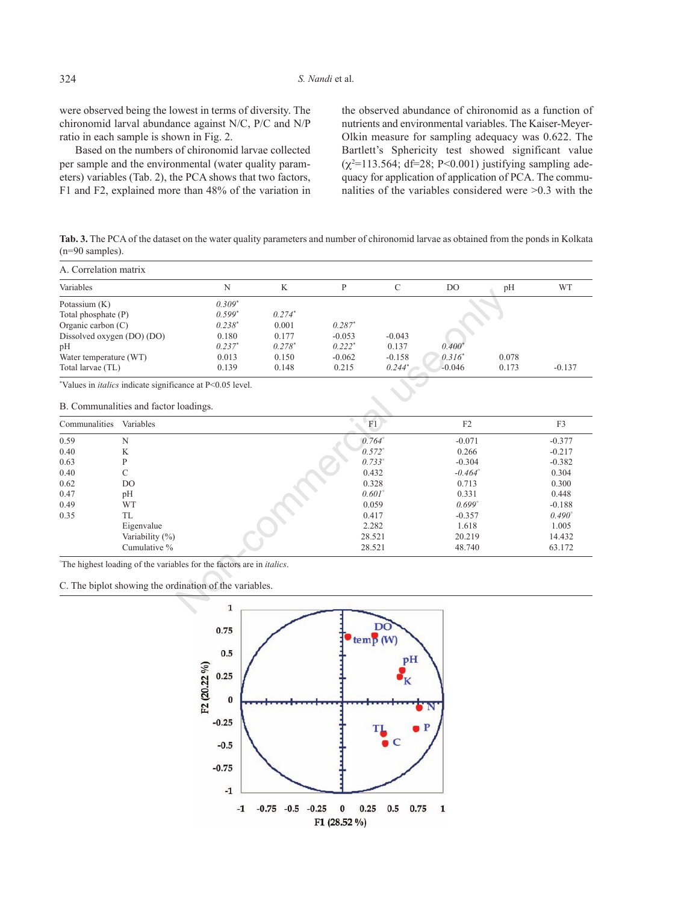were observed being the lowest in terms of diversity. The chironomid larval abundance against N/C, P/C and N/P ratio in each sample is shown in Fig. 2.

Based on the numbers of chironomid larvae collected per sample and the environmental (water quality parameters) variables (Tab. 2), the PCA shows that two factors, F1 and F2, explained more than 48% of the variation in

the observed abundance of chironomid as a function of nutrients and environmental variables. The Kaiser-Meyer-Olkin measure for sampling adequacy was 0.622. The Bartlett's Sphericity test showed significant value  $(\chi^2 = 113.564; df = 28; P < 0.001)$  justifying sampling adequacy for application of application of PCA. The communalities of the variables considered were >0.3 with the

**Tab. 3.** The PCA of the dataset on the water quality parameters and number of chironomid larvae as obtained from the ponds in Kolkata (n=90 samples).

| A. Correlation matrix      |                                                                                           |             |          |          |                 |                  |       |                 |
|----------------------------|-------------------------------------------------------------------------------------------|-------------|----------|----------|-----------------|------------------|-------|-----------------|
| Variables                  |                                                                                           | $\mathbf N$ | K        | P        | $\mathcal{C}$   | DO.              | pH    | <b>WT</b>       |
| Potassium (K)              |                                                                                           | $0.309*$    |          |          |                 |                  |       |                 |
| Total phosphate (P)        |                                                                                           | $0.599*$    | $0.274*$ |          |                 |                  |       |                 |
| Organic carbon $(C)$       |                                                                                           | $0.238*$    | 0.001    | $0.287*$ |                 |                  |       |                 |
| Dissolved oxygen (DO) (DO) |                                                                                           | 0.180       | 0.177    | $-0.053$ | $-0.043$        |                  |       |                 |
| pH                         |                                                                                           | $0.237*$    | $0.278*$ | $0.222*$ | 0.137           | $0.400*$         |       |                 |
| Water temperature (WT)     |                                                                                           | 0.013       | 0.150    | $-0.062$ | $-0.158$        | $0.316^*$        | 0.078 |                 |
| Total larvae (TL)          |                                                                                           | 0.139       | 0.148    | 0.215    | $0.244*$        | $-0.046$         | 0.173 | $-0.137$        |
|                            | *Values in <i>italics</i> indicate significance at P<0.05 level.                          |             |          |          |                 |                  |       |                 |
|                            | B. Communalities and factor loadings.                                                     |             |          |          |                 |                  |       |                 |
| Communalities              | Variables                                                                                 |             |          |          | F1              | F2               |       | F <sub>3</sub>  |
| 0.59                       | N                                                                                         |             |          |          | $0.764^{\circ}$ | $-0.071$         |       | $-0.377$        |
| 0.40                       | K                                                                                         |             |          |          | $0.572^{\circ}$ | 0.266            |       | $-0.217$        |
| 0.63                       | P                                                                                         |             |          |          | 0.733°          | $-0.304$         |       | $-0.382$        |
| 0.40                       | C                                                                                         |             |          |          | 0.432           | $-0.464^{\circ}$ |       | 0.304           |
| 0.62                       | D <sub>O</sub>                                                                            |             |          |          | 0.328           | 0.713            |       | 0.300           |
| 0.47                       | pH                                                                                        |             |          |          | $0.601^{\circ}$ | 0.331            |       | 0.448           |
| 0.49                       | <b>WT</b>                                                                                 |             |          |          | 0.059           | 0.699°           |       | $-0.188$        |
| 0.35                       | <b>TL</b>                                                                                 |             |          |          | 0.417           | $-0.357$         |       | $0.490^{\circ}$ |
|                            | Eigenvalue                                                                                |             |          |          | 2.282           | 1.618            |       | 1.005           |
|                            | Variability (%)                                                                           |             |          |          | 28.521          | 20.219           |       | 14.432          |
|                            | Cumulative %                                                                              |             |          |          | 28.521          | 48.740           |       | 63.172          |
|                            | <sup>o</sup> The highest loading of the variables for the factors are in <i>italics</i> . |             |          |          |                 |                  |       |                 |
|                            | C. The biplot showing the ordination of the variables.                                    |             |          |          |                 |                  |       |                 |
|                            |                                                                                           | 1           |          |          |                 |                  |       |                 |

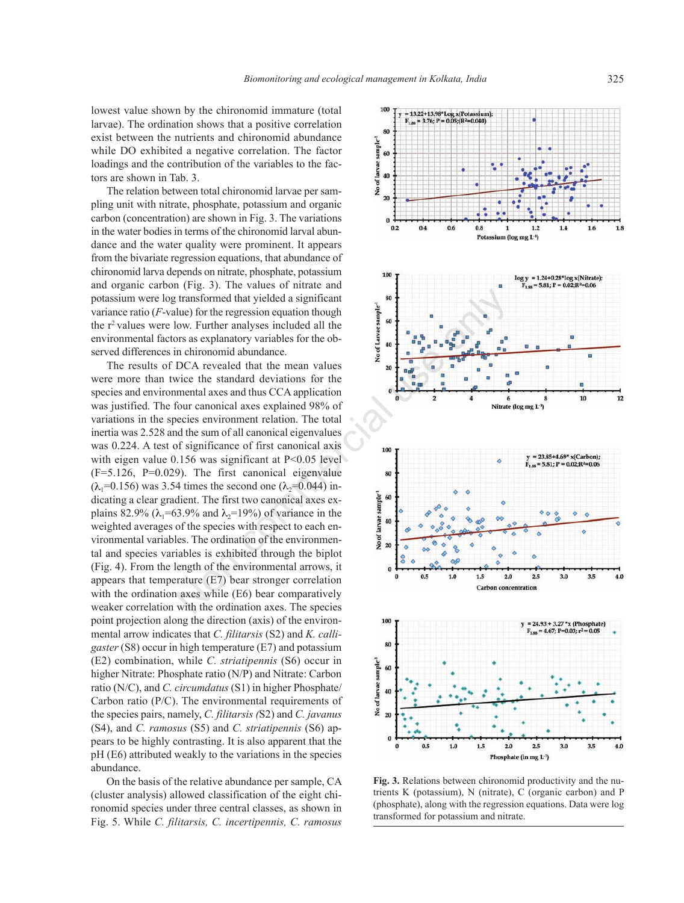lowest value shown by the chironomid immature (total larvae). The ordination shows that a positive correlation exist between the nutrients and chironomid abundance while DO exhibited a negative correlation. The factor loadings and the contribution of the variables to the factors are shown in Tab. 3.

The relation between total chironomid larvae per sampling unit with nitrate, phosphate, potassium and organic carbon (concentration) are shown in Fig. 3. The variations in the water bodies in terms of the chironomid larval abundance and the water quality were prominent. It appears from the bivariate regression equations, that abundance of chironomid larva depends on nitrate, phosphate, potassium and organic carbon (Fig. 3). The values of nitrate and potassium were log transformed that yielded a significant variance ratio (*F*-value) for the regression equation though the r<sup>2</sup> values were low. Further analyses included all the environmental factors as explanatory variables for the observed differences in chironomid abundance.

The results of DCA revealed that the mean values were more than twice the standard deviations for the species and environmental axes and thus CCA application was justified. The four canonical axes explained 98% of variations in the species environment relation. The total inertia was 2.528 and the sum of all canonical eigenvalues was 0.224. A test of significance of first canonical axis with eigen value  $0.156$  was significant at  $P<0.05$  level (F=5.126, P=0.029). The first canonical eigenvalue  $(\lambda_1=0.156)$  was 3.54 times the second one  $(\lambda_2=0.044)$  indicating a clear gradient. The first two canonical axes explains 82.9% ( $\lambda_1$ =63.9% and  $\lambda_2$ =19%) of variance in the weighted averages of the species with respect to each environmental variables. The ordination of the environmental and species variables is exhibited through the biplot (Fig. 4). From the length of the environmental arrows, it appears that temperature (E7) bear stronger correlation with the ordination axes while (E6) bear comparatively weaker correlation with the ordination axes. The species point projection along the direction (axis) of the environmental arrow indicates that *C. filitarsis* (S2) and *K. calligaster* (S8) occur in high temperature (E7) and potassium (E2) combination, while *C. striatipennis* (S6) occur in higher Nitrate: Phosphate ratio (N/P) and Nitrate: Carbon ratio (N/C), and *C. circumdatus* (S1) in higher Phosphate/ Carbon ratio (P/C). The environmental requirements of the species pairs, namely, *C. filitarsis (*S2) and *C. javanus* (S4), and *C. ramosus* (S5) and *C. striatipennis* (S6) appears to be highly contrasting. It is also apparent that the pH (E6) attributed weakly to the variations in the species abundance.

On the basis of the relative abundance per sample, CA (cluster analysis) allowed classification of the eight chironomid species under three central classes, as shown in Fig. 5. While *C. filitarsis, C. incertipennis, C. ramosus*



**Fig. 3.** Relations between chironomid productivity and the nutrients K (potassium), N (nitrate), C (organic carbon) and P (phosphate), along with the regression equations. Data were log transformed for potassium and nitrate.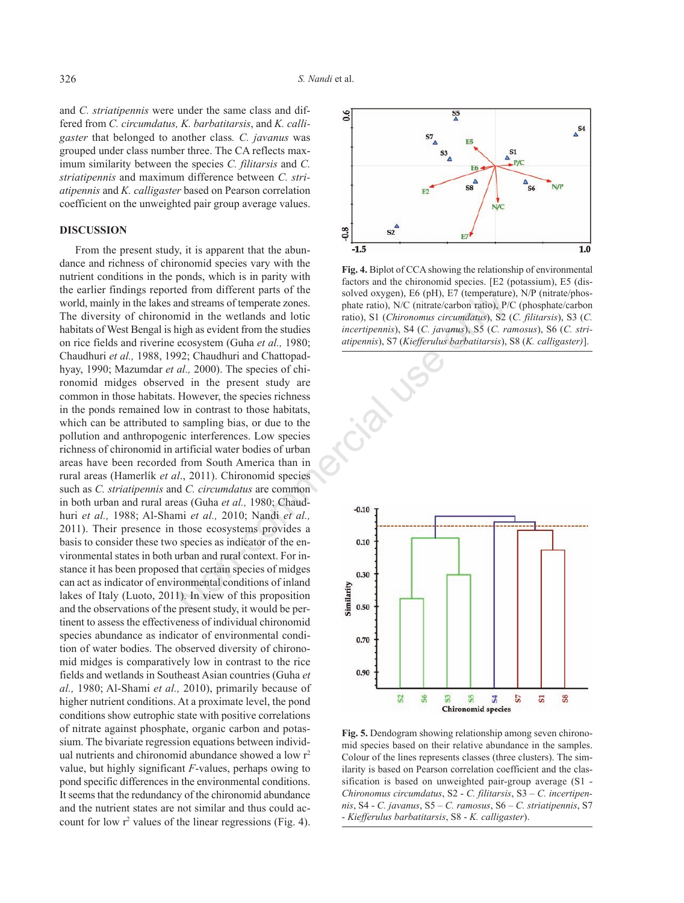and *C. striatipennis* were under the same class and differed from *C. circumdatus, K. barbatitarsis*, and *K. calligaster* that belonged to another class*. C. javanus* was grouped under class number three. The CA reflects maximum similarity between the species *C. filitarsis* and *C. striatipennis* and maximum difference between *C. striatipennis* and *K. calligaster* based on Pearson correlation coefficient on the unweighted pair group average values.

# **DISCUSSION**

From the present study, it is apparent that the abundance and richness of chironomid species vary with the nutrient conditions in the ponds, which is in parity with the earlier findings reported from different parts of the world, mainly in the lakes and streams of temperate zones. The diversity of chironomid in the wetlands and lotic habitats of West Bengal is high as evident from the studies on rice fields and riverine ecosystem (Guha *et al.,* 1980; Chaudhuri *et al.,* 1988, 1992; Chaudhuri and Chattopadhyay, 1990; Mazumdar *et al.,* 2000). The species of chironomid midges observed in the present study are common in those habitats. However, the species richness in the ponds remained low in contrast to those habitats, which can be attributed to sampling bias, or due to the pollution and anthropogenic interferences. Low species richness of chironomid in artificial water bodies of urban areas have been recorded from South America than in rural areas (Hamerlík *et al*., 2011). Chironomid species such as *C. striatipennis* and *C. circumdatus* are common in both urban and rural areas (Guha *et al.,* 1980; Chaudhuri *et al.,* 1988; Al-Shami *et al.,* 2010; Nandi *et al.,* 2011). Their presence in those ecosystems provides a basis to consider these two species as indicator of the environmental states in both urban and rural context. For instance it has been proposed that certain species of midges can act as indicator of environmental conditions of inland lakes of Italy (Luoto, 2011). In view of this proposition and the observations of the present study, it would be pertinent to assess the effectiveness of individual chironomid species abundance as indicator of environmental condition of water bodies. The observed diversity of chironomid midges is comparatively low in contrast to the rice fields and wetlands in Southeast Asian countries (Guha *et al.,* 1980; Al-Shami *et al.,* 2010), primarily because of higher nutrient conditions. At a proximate level, the pond conditions show eutrophic state with positive correlations of nitrate against phosphate, organic carbon and potassium. The bivariate regression equations between individual nutrients and chironomid abundance showed a low r<sup>2</sup> value, but highly significant *F*-values, perhaps owing to pond specific differences in the environmental conditions. It seems that the redundancy of the chironomid abundance and the nutrient states are not similar and thus could account for low  $r^2$  values of the linear regressions (Fig. 4).



**Fig. 4.** Biplot of CCA showing the relationship of environmental factors and the chironomid species. [E2 (potassium), E5 (dissolved oxygen), E6 (pH), E7 (temperature), N/P (nitrate/phosphate ratio), N/C (nitrate/carbon ratio), P/C (phosphate/carbon ratio), S1 (*Chironomus circumdatus*), S2 (*C. filitarsis*), S3 (*C. incertipennis*), S4 (*C. javanus*), S5 (*C. ramosus*), S6 (*C. striatipennis*), S7 (*Kiefferulus barbatitarsis*), S8 (*K. calligaster)*].



**Fig. 5.** Dendogram showing relationship among seven chironomid species based on their relative abundance in the samples. Colour of the lines represents classes (three clusters). The similarity is based on Pearson correlation coefficient and the classification is based on unweighted pair-group average (S1 - *Chironomus circumdatus*, S2 - *C. filitarsis*, S3 – *C. incertipennis*, S4 - *C. javanus*, S5 – *C. ramosus*, S6 – *C. striatipennis*, S7 - *Kiefferulus barbatitarsis*, S8 - *K. calligaster*).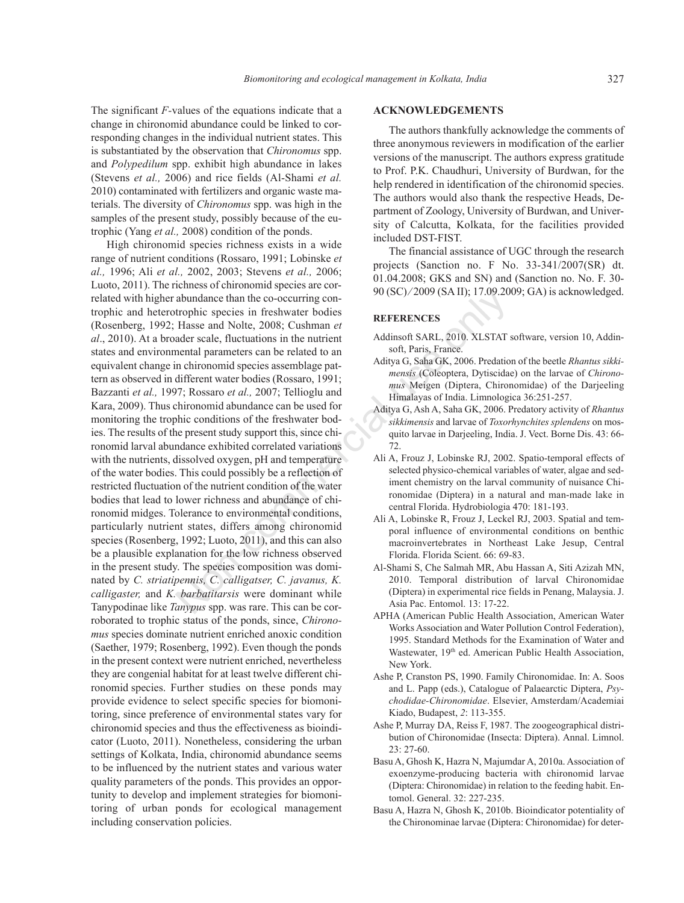The significant *F-*values of the equations indicate that a change in chironomid abundance could be linked to corresponding changes in the individual nutrient states. This is substantiated by the observation that *Chironomus* spp. and *Polypedilum* spp. exhibit high abundance in lakes (Stevens *et al.,* 2006) and rice fields (Al-Shami *et al.* 2010) contaminated with fertilizers and organic waste materials. The diversity of *Chironomus* spp. was high in the samples of the present study, possibly because of the eutrophic (Yang *et al.,* 2008) condition of the ponds.

High chironomid species richness exists in a wide range of nutrient conditions (Rossaro, 1991; Lobinske *et al.,* 1996; Ali *et al.,* 2002, 2003; Stevens *et al.,* 2006; Luoto, 2011). The richness of chironomid species are correlated with higher abundance than the co-occurring controphic and heterotrophic species in freshwater bodies (Rosenberg, 1992; Hasse and Nolte, 2008; Cushman *et al*., 2010). At a broader scale, fluctuations in the nutrient states and environmental parameters can be related to an equivalent change in chironomid species assemblage pattern as observed in different water bodies (Rossaro, 1991; Bazzanti *et al.,* 1997; Rossaro *et al.,* 2007; Tellioglu and Kara, 2009). Thus chironomid abundance can be used for monitoring the trophic conditions of the freshwater bodies. The results of the present study support this, since chironomid larval abundance exhibited correlated variations with the nutrients, dissolved oxygen, pH and temperature of the water bodies. This could possibly be a reflection of restricted fluctuation of the nutrient condition of the water bodies that lead to lower richness and abundance of chironomid midges. Tolerance to environmental conditions, particularly nutrient states, differs among chironomid species (Rosenberg, 1992; Luoto, 2011), and this can also be a plausible explanation for the low richness observed in the present study. The species composition was dominated by *C. striatipennis, C. calligatser, C. javanus, K. calligaster,* and *K. barbatitarsis* were dominant while Tanypodinae like *Tanypus* spp. was rare. This can be corroborated to trophic status of the ponds, since, *Chironomus* species dominate nutrient enriched anoxic condition (Saether, 1979; Rosenberg, 1992). Even though the ponds in the present context were nutrient enriched, nevertheless they are congenial habitat for at least twelve different chironomid species. Further studies on these ponds may provide evidence to select specific species for biomonitoring, since preference of environmental states vary for chironomid species and thus the effectiveness as bioindicator (Luoto, 2011). Nonetheless, considering the urban settings of Kolkata, India, chironomid abundance seems to be influenced by the nutrient states and various water quality parameters of the ponds. This provides an opportunity to develop and implement strategies for biomonitoring of urban ponds for ecological management including conservation policies. abundance than the co-occurring con-<br>
trophic species in freshwater bodies<br>
Hasse and Nolte, 2008; Cushman et<br>
addinsoft SARL, 2010. XLSTAT spectra and Nolte, 2008; Cushman et<br>
addinsoft SARL, 2010. XLSTAT spectra and Nor

#### **ACKNOWLEDGEMENTS**

The authors thankfully acknowledge the comments of three anonymous reviewers in modification of the earlier versions of the manuscript. The authors express gratitude to Prof. P.K. Chaudhuri, University of Burdwan, for the help rendered in identification of the chironomid species. The authors would also thank the respective Heads, Department of Zoology, University of Burdwan, and University of Calcutta, Kolkata, for the facilities provided included DST-FIST.

The financial assistance of UGC through the research projects (Sanction no. F No. 33-341/2007(SR) dt. 01.04.2008; GKS and SN) and (Sanction no. No. F. 30- 90 (SC) ⁄ 2009 (SA II); 17.09.2009; GA) is acknowledged.

#### **REFERENCES**

- Addinsoft SARL, 2010. XLSTAT software, version 10, Addinsoft, Paris, France.
- Aditya G, Saha GK, 2006. Predation of the beetle *Rhantus sikkimensis* (Coleoptera, Dytiscidae) on the larvae of *Chironomus* Meigen (Diptera, Chironomidae) of the Darjeeling Himalayas of India. Limnologica 36:251-257.
- Aditya G, Ash A, Saha GK, 2006. Predatory activity of *Rhantus sikkimensis* and larvae of *Toxorhynchites splendens* on mosquito larvae in Darjeeling, India. J. Vect. Borne Dis. 43: 66- 72.
- Ali A, Frouz J, Lobinske RJ, 2002. Spatio-temporal effects of selected physico-chemical variables of water, algae and sediment chemistry on the larval community of nuisance Chironomidae (Diptera) in a natural and man-made lake in central Florida. Hydrobiologia 470: 181-193.
- Ali A, Lobinske R, Frouz J, Leckel RJ, 2003. Spatial and temporal influence of environmental conditions on benthic macroinvertebrates in Northeast Lake Jesup, Central Florida. Florida Scient. 66: 69-83.
- Al-Shami S, Che Salmah MR, Abu Hassan A, Siti Azizah MN, 2010. Temporal distribution of larval Chironomidae (Diptera) in experimental rice fields in Penang, Malaysia. J. Asia Pac. Entomol. 13: 17-22.
- APHA (American Public Health Association, American Water Works Association and Water Pollution Control Federation), 1995. Standard Methods for the Examination of Water and Wastewater, 19<sup>th</sup> ed. American Public Health Association, New York.
- Ashe P, Cranston PS, 1990. Family Chironomidae. In: A. Soos and L. Papp (eds.), Catalogue of Palaearctic Diptera, *Psychodidae-Chironomidae*. Elsevier, Amsterdam/Academiai Kiado, Budapest, *2*: 113-355.
- Ashe P, Murray DA, Reiss F, 1987. The zoogeographical distribution of Chironomidae (Insecta: Diptera). Annal. Limnol. 23: 27-60.
- Basu A, Ghosh K, Hazra N, Majumdar A, 2010a. Association of exoenzyme-producing bacteria with chironomid larvae (Diptera: Chironomidae) in relation to the feeding habit. Entomol. General. 32: 227-235.
- Basu A, Hazra N, Ghosh K, 2010b. Bioindicator potentiality of the Chironominae larvae (Diptera: Chironomidae) for deter-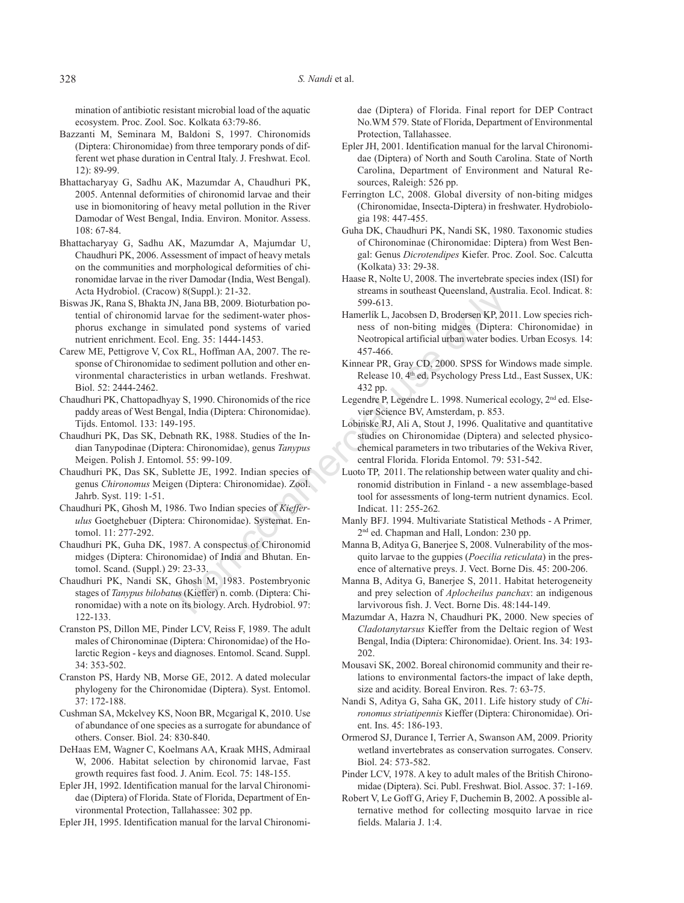mination of antibiotic resistant microbial load of the aquatic ecosystem. Proc. Zool. Soc. Kolkata 63:79-86.

- Bazzanti M, Seminara M, Baldoni S, 1997. Chironomids (Diptera: Chironomidae) from three temporary ponds of different wet phase duration in Central Italy. J. Freshwat. Ecol. 12): 89-99.
- Bhattacharyay G, Sadhu AK, Mazumdar A, Chaudhuri PK, 2005. Antennal deformities of chironomid larvae and their use in biomonitoring of heavy metal pollution in the River Damodar of West Bengal, India. Environ. Monitor. Assess. 108: 67-84.
- Bhattacharyay G, Sadhu AK, Mazumdar A, Majumdar U, Chaudhuri PK, 2006. Assessment of impact of heavy metals on the communities and morphological deformities of chironomidae larvae in the river Damodar (India, West Bengal). Acta Hydrobiol. (Cracow) 8(Suppl.): 21-32.
- Biswas JK, Rana S, Bhakta JN, Jana BB, 2009. Bioturbation potential of chironomid larvae for the sediment-water phosphorus exchange in simulated pond systems of varied nutrient enrichment. Ecol. Eng. 35: 1444-1453.
- Carew ME, Pettigrove V, Cox RL, Hoffman AA, 2007. The response of Chironomidae to sediment pollution and other environmental characteristics in urban wetlands. Freshwat. Biol. 52: 2444-2462.
- Chaudhuri PK, Chattopadhyay S, 1990. Chironomids of the rice paddy areas of West Bengal, India (Diptera: Chironomidae). Tijds. Entomol. 133: 149-195.
- Chaudhuri PK, Das SK, Debnath RK, 1988. Studies of the Indian Tanypodinae (Diptera: Chironomidae), genus *Tanypus* Meigen. Polish J. Entomol. 55: 99-109.
- Chaudhuri PK, Das SK, Sublette JE, 1992. Indian species of genus *Chironomus* Meigen (Diptera: Chironomidae). Zool. Jahrb. Syst. 119: 1-51.
- Chaudhuri PK, Ghosh M, 1986. Two Indian species of *Kiefferulus* Goetghebuer (Diptera: Chironomidae). Systemat. Entomol. 11: 277-292.
- Chaudhuri PK, Guha DK, 1987. A conspectus of Chironomid midges (Diptera: Chironomidae) of India and Bhutan. Entomol. Scand. (Suppl.) 29: 23-33.
- Chaudhuri PK, Nandi SK, Ghosh M, 1983. Postembryonic stages of *Tanypus bilobatus* (Kieffer) n. comb. (Diptera: Chironomidae) with a note on its biology. Arch. Hydrobiol. 97: 122-133.
- Cranston PS, Dillon ME, Pinder LCV, Reiss F, 1989. The adult males of Chironominae (Diptera: Chironomidae) of the Holarctic Region - keys and diagnoses. Entomol. Scand. Suppl. 34: 353-502.
- Cranston PS, Hardy NB, Morse GE, 2012. A dated molecular phylogeny for the Chironomidae (Diptera). Syst. Entomol. 37: 172-188.
- Cushman SA, Mckelvey KS, Noon BR, Mcgarigal K, 2010. Use of abundance of one species as a surrogate for abundance of others. Conser. Biol. 24: 830-840.
- DeHaas EM, Wagner C, Koelmans AA, Kraak MHS, Admiraal W, 2006. Habitat selection by chironomid larvae, Fast growth requires fast food. J. Anim. Ecol. 75: 148-155.
- Epler JH, 1992. Identification manual for the larval Chironomidae (Diptera) of Florida. State of Florida, Department of Environmental Protection, Tallahassee: 302 pp.

Epler JH, 1995. Identification manual for the larval Chironomi-

dae (Diptera) of Florida. Final report for DEP Contract No.WM 579. State of Florida, Department of Environmental Protection, Tallahassee.

- Epler JH, 2001. Identification manual for the larval Chironomidae (Diptera) of North and South Carolina. State of North Carolina, Department of Environment and Natural Resources, Raleigh: 526 pp.
- Ferrington LC, 2008. Global diversity of non-biting midges (Chironomidae, Insecta-Diptera) in freshwater. Hydrobiologia 198: 447-455.
- Guha DK, Chaudhuri PK, Nandi SK, 1980. Taxonomic studies of Chironominae (Chironomidae: Diptera) from West Bengal: Genus *Dicrotendipes* Kiefer. Proc. Zool. Soc. Calcutta (Kolkata) 33: 29-38.
- Haase R, Nolte U, 2008. The invertebrate species index (ISI) for streams in southeast Queensland, Australia. Ecol. Indicat. 8: 599-613.
- Hamerlík L, Jacobsen D, Brodersen KP, 2011. Low species richness of non-biting midges (Diptera: Chironomidae) in Neotropical artificial urban water bodies. Urban Ecosys*.* 14: 457-466.
- Kinnear PR, Gray CD, 2000. SPSS for Windows made simple. Release 10. 4<sup>th</sup> ed. Psychology Press Ltd., East Sussex, UK: 432 pp.
- Legendre P, Legendre L. 1998. Numerical ecology, 2<sup>nd</sup> ed. Elsevier Science BV, Amsterdam, p. 853.
- Lobinske RJ, Ali A, Stout J, 1996. Qualitative and quantitative studies on Chironomidae (Diptera) and selected physicochemical parameters in two tributaries of the Wekiva River, central Florida. Florida Entomol. 79: 531-542. The Steam is notheast Queensland, Australy, 121-32.<br>
Nona BB, 2009. Bioturbation po-<br>
spo-613.<br>
Nona BB, 2009. Bioturbation po-<br>
nulated pond systems of varied<br>
I. Eng. 35: 1444-1453.<br>
Neutropical artificial urban water b
	- Luoto TP, 2011. The relationship between water quality and chironomid distribution in Finland - a new assemblage-based tool for assessments of long-term nutrient dynamics. Ecol. Indicat. 11: 255-262*.*
	- Manly BFJ. 1994. Multivariate Statistical Methods A Primer*,* 2nd ed. Chapman and Hall, London: 230 pp.
	- Manna B, Aditya G, Banerjee S, 2008. Vulnerability of the mosquito larvae to the guppies (*Poecilia reticulata*) in the presence of alternative preys. J. Vect. Borne Dis. 45: 200-206.
	- Manna B, Aditya G, Banerjee S, 2011. Habitat heterogeneity and prey selection of *Aplocheilus panchax*: an indigenous larvivorous fish. J. Vect. Borne Dis. 48:144-149.
	- Mazumdar A, Hazra N, Chaudhuri PK, 2000. New species of *Cladotanytarsus* Kieffer from the Deltaic region of West Bengal, India (Diptera: Chironomidae). Orient. Ins. 34: 193- 202.
	- Mousavi SK, 2002. Boreal chironomid community and their relations to environmental factors-the impact of lake depth, size and acidity. Boreal Environ. Res. 7: 63-75.
	- Nandi S, Aditya G, Saha GK, 2011. Life history study of *Chironomus striatipennis* Kieffer (Diptera: Chironomidae). Orient. Ins. 45: 186-193.
	- Ormerod SJ, Durance I, Terrier A, Swanson AM, 2009. Priority wetland invertebrates as conservation surrogates. Conserv. Biol. 24: 573-582.
	- Pinder LCV, 1978. A key to adult males of the British Chironomidae (Diptera). Sci. Publ. Freshwat. Biol. Assoc. 37: 1-169.
	- Robert V, Le Goff G, Ariey F, Duchemin B, 2002. A possible alternative method for collecting mosquito larvae in rice fields. Malaria J. 1:4.